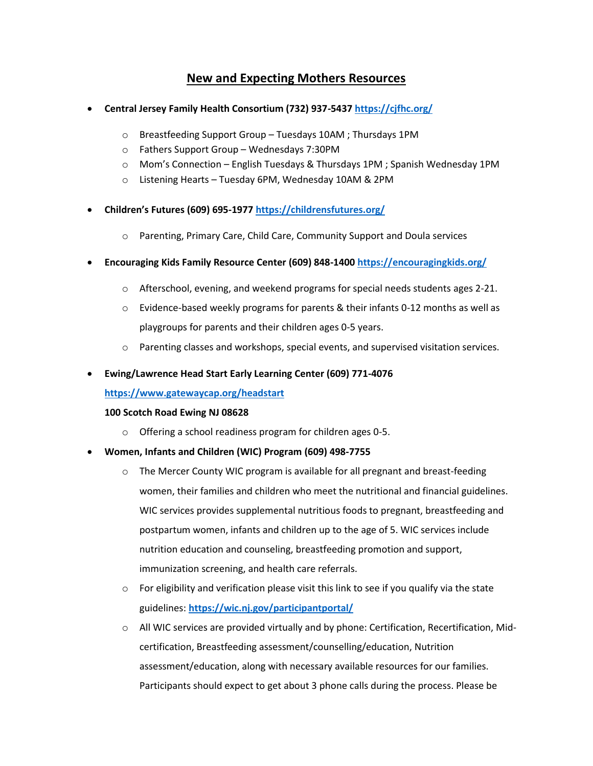# **New and Expecting Mothers Resources**

- **Central Jersey Family Health Consortium (732) 937-5437 <https://cjfhc.org/>**
	- o Breastfeeding Support Group Tuesdays 10AM ; Thursdays 1PM
	- o Fathers Support Group Wednesdays 7:30PM
	- o Mom's Connection English Tuesdays & Thursdays 1PM ; Spanish Wednesday 1PM
	- o Listening Hearts Tuesday 6PM, Wednesday 10AM & 2PM
- **Children's Futures (609) 695-1977 <https://childrensfutures.org/>**
	- o Parenting, Primary Care, Child Care, Community Support and Doula services
- **Encouraging Kids Family Resource Center (609) 848-1400 <https://encouragingkids.org/>**
	- $\circ$  Afterschool, evening, and weekend programs for special needs students ages 2-21.
	- $\circ$  Evidence-based weekly programs for parents & their infants 0-12 months as well as playgroups for parents and their children ages 0-5 years.
	- o Parenting classes and workshops, special events, and supervised visitation services.

## • **Ewing/Lawrence Head Start Early Learning Center (609) 771-4076**

## **<https://www.gatewaycap.org/headstart>**

## **100 Scotch Road Ewing NJ 08628**

- o Offering a school readiness program for children ages 0-5.
- **Women, Infants and Children (WIC) Program (609) 498-7755**
	- o The Mercer County WIC program is available for all pregnant and breast-feeding women, their families and children who meet the nutritional and financial guidelines. WIC services provides supplemental nutritious foods to pregnant, breastfeeding and postpartum women, infants and children up to the age of 5. WIC services include nutrition education and counseling, breastfeeding promotion and support, immunization screening, and health care referrals.
	- $\circ$  For eligibility and verification please visit this link to see if you qualify via the state guidelines: **<https://wic.nj.gov/participantportal/>**
	- o All WIC services are provided virtually and by phone: Certification, Recertification, Midcertification, Breastfeeding assessment/counselling/education, Nutrition assessment/education, along with necessary available resources for our families. Participants should expect to get about 3 phone calls during the process. Please be